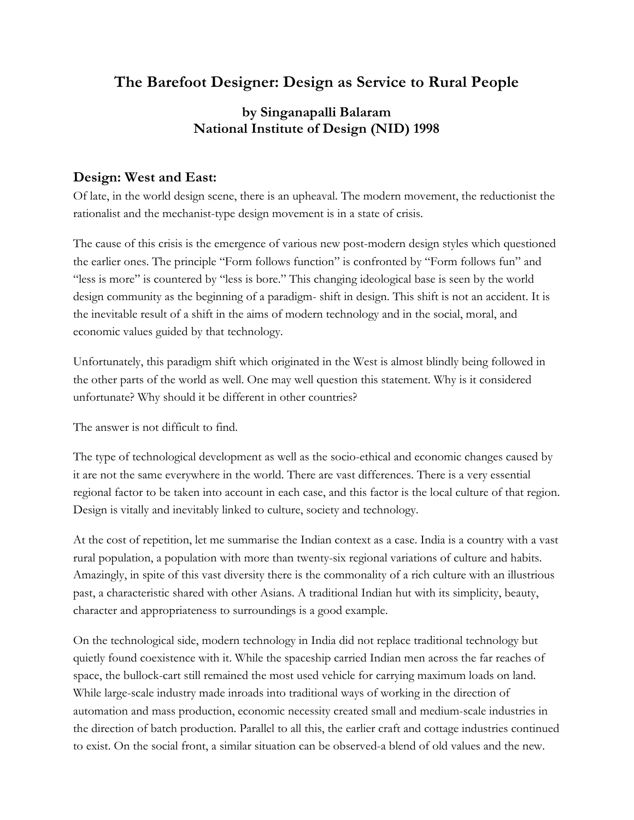# **The Barefoot Designer: Design as Service to Rural People**

# **by Singanapalli Balaram National Institute of Design (NID) 1998**

# **Design: West and East:**

Of late, in the world design scene, there is an upheaval. The modern movement, the reductionist the rationalist and the mechanist-type design movement is in a state of crisis.

The cause of this crisis is the emergence of various new post-modern design styles which questioned the earlier ones. The principle "Form follows function" is confronted by "Form follows fun" and "less is more" is countered by "less is bore." This changing ideological base is seen by the world design community as the beginning of a paradigm- shift in design. This shift is not an accident. It is the inevitable result of a shift in the aims of modern technology and in the social, moral, and economic values guided by that technology.

Unfortunately, this paradigm shift which originated in the West is almost blindly being followed in the other parts of the world as well. One may well question this statement. Why is it considered unfortunate? Why should it be different in other countries?

The answer is not difficult to find.

The type of technological development as well as the socio-ethical and economic changes caused by it are not the same everywhere in the world. There are vast differences. There is a very essential regional factor to be taken into account in each case, and this factor is the local culture of that region. Design is vitally and inevitably linked to culture, society and technology.

At the cost of repetition, let me summarise the Indian context as a case. India is a country with a vast rural population, a population with more than twenty-six regional variations of culture and habits. Amazingly, in spite of this vast diversity there is the commonality of a rich culture with an illustrious past, a characteristic shared with other Asians. A traditional Indian hut with its simplicity, beauty, character and appropriateness to surroundings is a good example.

On the technological side, modern technology in India did not replace traditional technology but quietly found coexistence with it. While the spaceship carried Indian men across the far reaches of space, the bullock-cart still remained the most used vehicle for carrying maximum loads on land. While large-scale industry made inroads into traditional ways of working in the direction of automation and mass production, economic necessity created small and medium-scale industries in the direction of batch production. Parallel to all this, the earlier craft and cottage industries continued to exist. On the social front, a similar situation can be observed-a blend of old values and the new.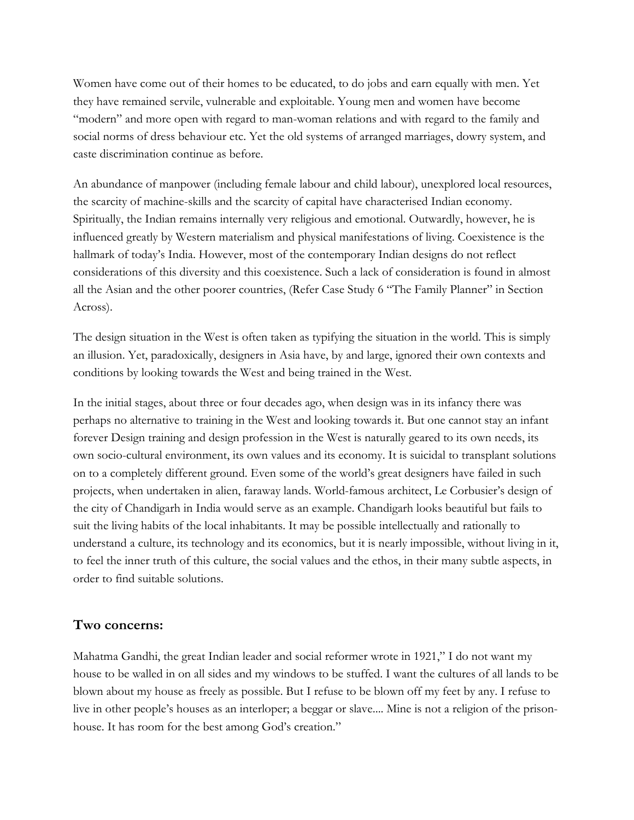Women have come out of their homes to be educated, to do jobs and earn equally with men. Yet they have remained servile, vulnerable and exploitable. Young men and women have become "modern" and more open with regard to man-woman relations and with regard to the family and social norms of dress behaviour etc. Yet the old systems of arranged marriages, dowry system, and caste discrimination continue as before.

An abundance of manpower (including female labour and child labour), unexplored local resources, the scarcity of machine-skills and the scarcity of capital have characterised Indian economy. Spiritually, the Indian remains internally very religious and emotional. Outwardly, however, he is influenced greatly by Western materialism and physical manifestations of living. Coexistence is the hallmark of today's India. However, most of the contemporary Indian designs do not reflect considerations of this diversity and this coexistence. Such a lack of consideration is found in almost all the Asian and the other poorer countries, (Refer Case Study 6 "The Family Planner" in Section Across).

The design situation in the West is often taken as typifying the situation in the world. This is simply an illusion. Yet, paradoxically, designers in Asia have, by and large, ignored their own contexts and conditions by looking towards the West and being trained in the West.

In the initial stages, about three or four decades ago, when design was in its infancy there was perhaps no alternative to training in the West and looking towards it. But one cannot stay an infant forever Design training and design profession in the West is naturally geared to its own needs, its own socio-cultural environment, its own values and its economy. It is suicidal to transplant solutions on to a completely different ground. Even some of the world's great designers have failed in such projects, when undertaken in alien, faraway lands. World-famous architect, Le Corbusier's design of the city of Chandigarh in India would serve as an example. Chandigarh looks beautiful but fails to suit the living habits of the local inhabitants. It may be possible intellectually and rationally to understand a culture, its technology and its economics, but it is nearly impossible, without living in it, to feel the inner truth of this culture, the social values and the ethos, in their many subtle aspects, in order to find suitable solutions.

#### **Two concerns:**

Mahatma Gandhi, the great Indian leader and social reformer wrote in 1921," I do not want my house to be walled in on all sides and my windows to be stuffed. I want the cultures of all lands to be blown about my house as freely as possible. But I refuse to be blown off my feet by any. I refuse to live in other people's houses as an interloper; a beggar or slave.... Mine is not a religion of the prisonhouse. It has room for the best among God's creation."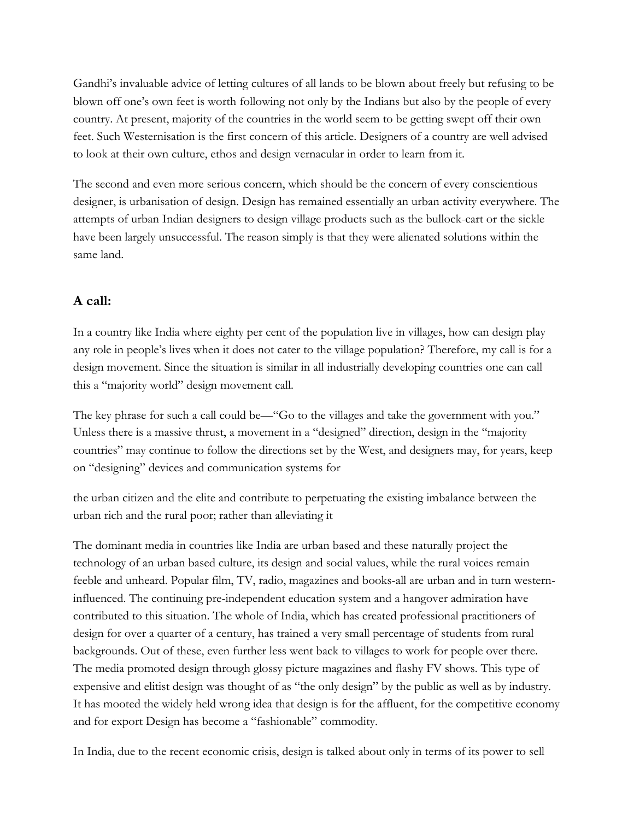Gandhi's invaluable advice of letting cultures of all lands to be blown about freely but refusing to be blown off one's own feet is worth following not only by the Indians but also by the people of every country. At present, majority of the countries in the world seem to be getting swept off their own feet. Such Westernisation is the first concern of this article. Designers of a country are well advised to look at their own culture, ethos and design vernacular in order to learn from it.

The second and even more serious concern, which should be the concern of every conscientious designer, is urbanisation of design. Design has remained essentially an urban activity everywhere. The attempts of urban Indian designers to design village products such as the bullock-cart or the sickle have been largely unsuccessful. The reason simply is that they were alienated solutions within the same land.

## **A call:**

In a country like India where eighty per cent of the population live in villages, how can design play any role in people's lives when it does not cater to the village population? Therefore, my call is for a design movement. Since the situation is similar in all industrially developing countries one can call this a "majority world" design movement call.

The key phrase for such a call could be—"Go to the villages and take the government with you." Unless there is a massive thrust, a movement in a "designed" direction, design in the "majority countries" may continue to follow the directions set by the West, and designers may, for years, keep on "designing" devices and communication systems for

the urban citizen and the elite and contribute to perpetuating the existing imbalance between the urban rich and the rural poor; rather than alleviating it

The dominant media in countries like India are urban based and these naturally project the technology of an urban based culture, its design and social values, while the rural voices remain feeble and unheard. Popular film, TV, radio, magazines and books-all are urban and in turn westerninfluenced. The continuing pre-independent education system and a hangover admiration have contributed to this situation. The whole of India, which has created professional practitioners of design for over a quarter of a century, has trained a very small percentage of students from rural backgrounds. Out of these, even further less went back to villages to work for people over there. The media promoted design through glossy picture magazines and flashy FV shows. This type of expensive and elitist design was thought of as "the only design" by the public as well as by industry. It has mooted the widely held wrong idea that design is for the affluent, for the competitive economy and for export Design has become a "fashionable" commodity.

In India, due to the recent economic crisis, design is talked about only in terms of its power to sell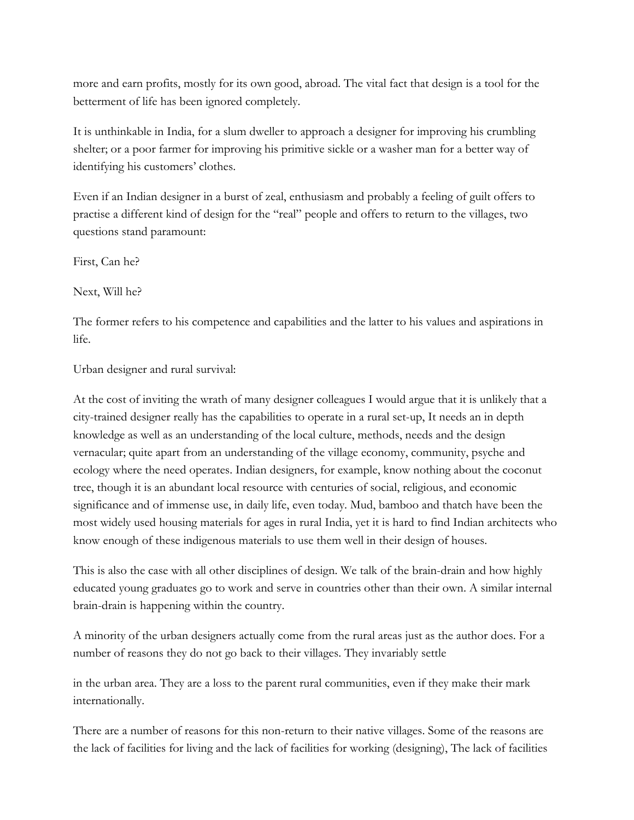more and earn profits, mostly for its own good, abroad. The vital fact that design is a tool for the betterment of life has been ignored completely.

It is unthinkable in India, for a slum dweller to approach a designer for improving his crumbling shelter; or a poor farmer for improving his primitive sickle or a washer man for a better way of identifying his customers' clothes.

Even if an Indian designer in a burst of zeal, enthusiasm and probably a feeling of guilt offers to practise a different kind of design for the "real" people and offers to return to the villages, two questions stand paramount:

First, Can he?

Next, Will he?

The former refers to his competence and capabilities and the latter to his values and aspirations in life.

Urban designer and rural survival:

At the cost of inviting the wrath of many designer colleagues I would argue that it is unlikely that a city-trained designer really has the capabilities to operate in a rural set-up, It needs an in depth knowledge as well as an understanding of the local culture, methods, needs and the design vernacular; quite apart from an understanding of the village economy, community, psyche and ecology where the need operates. Indian designers, for example, know nothing about the coconut tree, though it is an abundant local resource with centuries of social, religious, and economic significance and of immense use, in daily life, even today. Mud, bamboo and thatch have been the most widely used housing materials for ages in rural India, yet it is hard to find Indian architects who know enough of these indigenous materials to use them well in their design of houses.

This is also the case with all other disciplines of design. We talk of the brain-drain and how highly educated young graduates go to work and serve in countries other than their own. A similar internal brain-drain is happening within the country.

A minority of the urban designers actually come from the rural areas just as the author does. For a number of reasons they do not go back to their villages. They invariably settle

in the urban area. They are a loss to the parent rural communities, even if they make their mark internationally.

There are a number of reasons for this non-return to their native villages. Some of the reasons are the lack of facilities for living and the lack of facilities for working (designing), The lack of facilities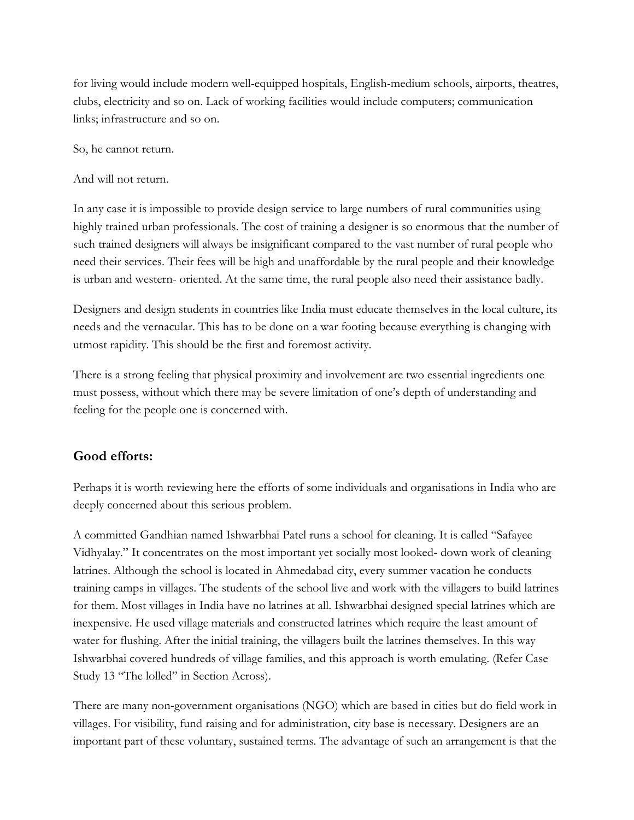for living would include modern well-equipped hospitals, English-medium schools, airports, theatres, clubs, electricity and so on. Lack of working facilities would include computers; communication links; infrastructure and so on.

So, he cannot return.

And will not return.

In any case it is impossible to provide design service to large numbers of rural communities using highly trained urban professionals. The cost of training a designer is so enormous that the number of such trained designers will always be insignificant compared to the vast number of rural people who need their services. Their fees will be high and unaffordable by the rural people and their knowledge is urban and western- oriented. At the same time, the rural people also need their assistance badly.

Designers and design students in countries like India must educate themselves in the local culture, its needs and the vernacular. This has to be done on a war footing because everything is changing with utmost rapidity. This should be the first and foremost activity.

There is a strong feeling that physical proximity and involvement are two essential ingredients one must possess, without which there may be severe limitation of one's depth of understanding and feeling for the people one is concerned with.

## **Good efforts:**

Perhaps it is worth reviewing here the efforts of some individuals and organisations in India who are deeply concerned about this serious problem.

A committed Gandhian named Ishwarbhai Patel runs a school for cleaning. It is called "Safayee Vidhyalay." It concentrates on the most important yet socially most looked- down work of cleaning latrines. Although the school is located in Ahmedabad city, every summer vacation he conducts training camps in villages. The students of the school live and work with the villagers to build latrines for them. Most villages in India have no latrines at all. Ishwarbhai designed special latrines which are inexpensive. He used village materials and constructed latrines which require the least amount of water for flushing. After the initial training, the villagers built the latrines themselves. In this way Ishwarbhai covered hundreds of village families, and this approach is worth emulating. (Refer Case Study 13 "The lolled" in Section Across).

There are many non-government organisations (NGO) which are based in cities but do field work in villages. For visibility, fund raising and for administration, city base is necessary. Designers are an important part of these voluntary, sustained terms. The advantage of such an arrangement is that the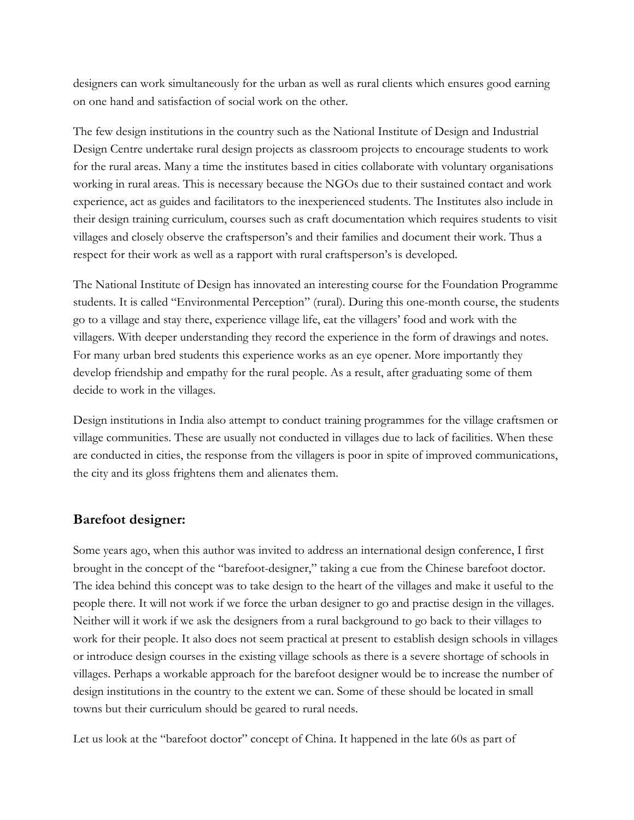designers can work simultaneously for the urban as well as rural clients which ensures good earning on one hand and satisfaction of social work on the other.

The few design institutions in the country such as the National Institute of Design and Industrial Design Centre undertake rural design projects as classroom projects to encourage students to work for the rural areas. Many a time the institutes based in cities collaborate with voluntary organisations working in rural areas. This is necessary because the NGOs due to their sustained contact and work experience, act as guides and facilitators to the inexperienced students. The Institutes also include in their design training curriculum, courses such as craft documentation which requires students to visit villages and closely observe the craftsperson's and their families and document their work. Thus a respect for their work as well as a rapport with rural craftsperson's is developed.

The National Institute of Design has innovated an interesting course for the Foundation Programme students. It is called "Environmental Perception" (rural). During this one-month course, the students go to a village and stay there, experience village life, eat the villagers' food and work with the villagers. With deeper understanding they record the experience in the form of drawings and notes. For many urban bred students this experience works as an eye opener. More importantly they develop friendship and empathy for the rural people. As a result, after graduating some of them decide to work in the villages.

Design institutions in India also attempt to conduct training programmes for the village craftsmen or village communities. These are usually not conducted in villages due to lack of facilities. When these are conducted in cities, the response from the villagers is poor in spite of improved communications, the city and its gloss frightens them and alienates them.

## **Barefoot designer:**

Some years ago, when this author was invited to address an international design conference, I first brought in the concept of the "barefoot-designer," taking a cue from the Chinese barefoot doctor. The idea behind this concept was to take design to the heart of the villages and make it useful to the people there. It will not work if we force the urban designer to go and practise design in the villages. Neither will it work if we ask the designers from a rural background to go back to their villages to work for their people. It also does not seem practical at present to establish design schools in villages or introduce design courses in the existing village schools as there is a severe shortage of schools in villages. Perhaps a workable approach for the barefoot designer would be to increase the number of design institutions in the country to the extent we can. Some of these should be located in small towns but their curriculum should be geared to rural needs.

Let us look at the "barefoot doctor" concept of China. It happened in the late 60s as part of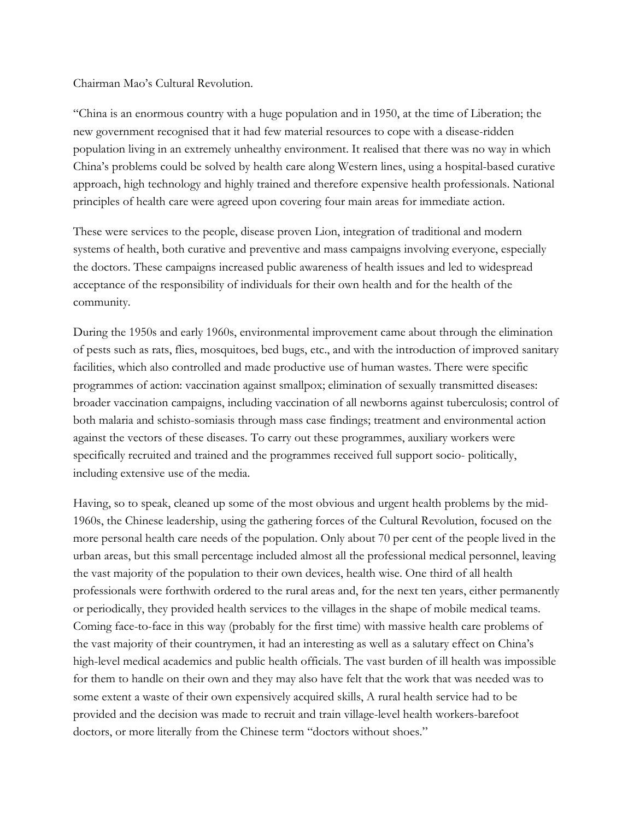Chairman Mao's Cultural Revolution.

"China is an enormous country with a huge population and in 1950, at the time of Liberation; the new government recognised that it had few material resources to cope with a disease-ridden population living in an extremely unhealthy environment. It realised that there was no way in which China's problems could be solved by health care along Western lines, using a hospital-based curative approach, high technology and highly trained and therefore expensive health professionals. National principles of health care were agreed upon covering four main areas for immediate action.

These were services to the people, disease proven Lion, integration of traditional and modern systems of health, both curative and preventive and mass campaigns involving everyone, especially the doctors. These campaigns increased public awareness of health issues and led to widespread acceptance of the responsibility of individuals for their own health and for the health of the community.

During the 1950s and early 1960s, environmental improvement came about through the elimination of pests such as rats, flies, mosquitoes, bed bugs, etc., and with the introduction of improved sanitary facilities, which also controlled and made productive use of human wastes. There were specific programmes of action: vaccination against smallpox; elimination of sexually transmitted diseases: broader vaccination campaigns, including vaccination of all newborns against tuberculosis; control of both malaria and schisto-somiasis through mass case findings; treatment and environmental action against the vectors of these diseases. To carry out these programmes, auxiliary workers were specifically recruited and trained and the programmes received full support socio- politically, including extensive use of the media.

Having, so to speak, cleaned up some of the most obvious and urgent health problems by the mid-1960s, the Chinese leadership, using the gathering forces of the Cultural Revolution, focused on the more personal health care needs of the population. Only about 70 per cent of the people lived in the urban areas, but this small percentage included almost all the professional medical personnel, leaving the vast majority of the population to their own devices, health wise. One third of all health professionals were forthwith ordered to the rural areas and, for the next ten years, either permanently or periodically, they provided health services to the villages in the shape of mobile medical teams. Coming face-to-face in this way (probably for the first time) with massive health care problems of the vast majority of their countrymen, it had an interesting as well as a salutary effect on China's high-level medical academics and public health officials. The vast burden of ill health was impossible for them to handle on their own and they may also have felt that the work that was needed was to some extent a waste of their own expensively acquired skills, A rural health service had to be provided and the decision was made to recruit and train village-level health workers-barefoot doctors, or more literally from the Chinese term "doctors without shoes."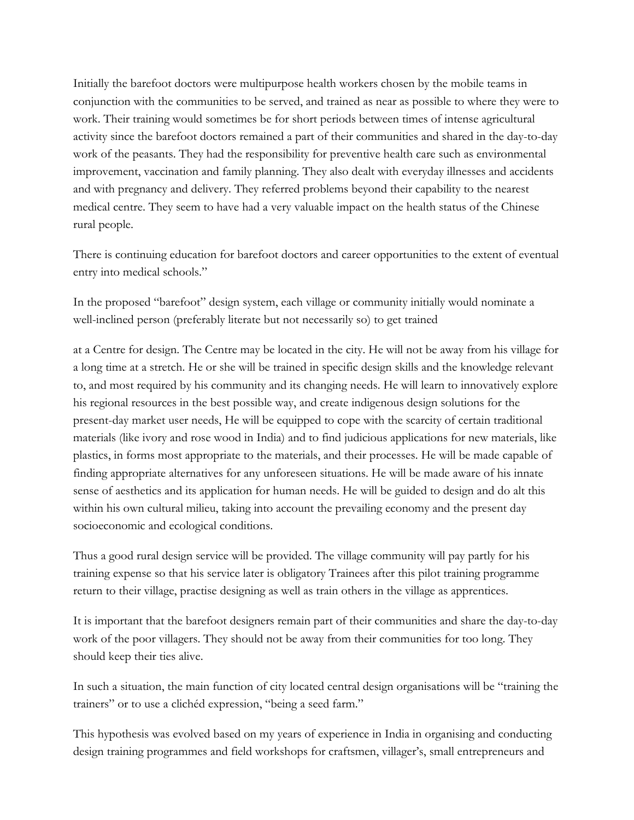Initially the barefoot doctors were multipurpose health workers chosen by the mobile teams in conjunction with the communities to be served, and trained as near as possible to where they were to work. Their training would sometimes be for short periods between times of intense agricultural activity since the barefoot doctors remained a part of their communities and shared in the day-to-day work of the peasants. They had the responsibility for preventive health care such as environmental improvement, vaccination and family planning. They also dealt with everyday illnesses and accidents and with pregnancy and delivery. They referred problems beyond their capability to the nearest medical centre. They seem to have had a very valuable impact on the health status of the Chinese rural people.

There is continuing education for barefoot doctors and career opportunities to the extent of eventual entry into medical schools."

In the proposed "barefoot" design system, each village or community initially would nominate a well-inclined person (preferably literate but not necessarily so) to get trained

at a Centre for design. The Centre may be located in the city. He will not be away from his village for a long time at a stretch. He or she will be trained in specific design skills and the knowledge relevant to, and most required by his community and its changing needs. He will learn to innovatively explore his regional resources in the best possible way, and create indigenous design solutions for the present-day market user needs, He will be equipped to cope with the scarcity of certain traditional materials (like ivory and rose wood in India) and to find judicious applications for new materials, like plastics, in forms most appropriate to the materials, and their processes. He will be made capable of finding appropriate alternatives for any unforeseen situations. He will be made aware of his innate sense of aesthetics and its application for human needs. He will be guided to design and do alt this within his own cultural milieu, taking into account the prevailing economy and the present day socioeconomic and ecological conditions.

Thus a good rural design service will be provided. The village community will pay partly for his training expense so that his service later is obligatory Trainees after this pilot training programme return to their village, practise designing as well as train others in the village as apprentices.

It is important that the barefoot designers remain part of their communities and share the day-to-day work of the poor villagers. They should not be away from their communities for too long. They should keep their ties alive.

In such a situation, the main function of city located central design organisations will be "training the trainers" or to use a clichéd expression, "being a seed farm."

This hypothesis was evolved based on my years of experience in India in organising and conducting design training programmes and field workshops for craftsmen, villager's, small entrepreneurs and